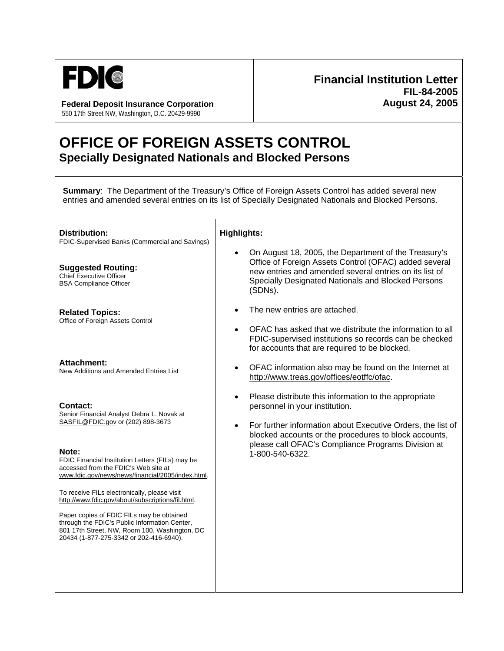

**Federal Deposit Insurance Corporation**  550 17th Street NW, Washington, D.C. 20429-9990

## **Financial Institution Letter FIL-84-2005 August 24, 2005**

# **OFFICE OF FOREIGN ASSETS CONTROL Specially Designated Nationals and Blocked Persons**

**Summary**: The Department of the Treasury's Office of Foreign Assets Control has added several new entries and amended several entries on its list of Specially Designated Nationals and Blocked Persons.

**Distribution:**  FDIC-Supervised Banks (Commercial and Savings)

**Suggested Routing:**  Chief Executive Officer BSA Compliance Officer

**Related Topics:**  Office of Foreign Assets Control

**Attachment:** 

New Additions and Amended Entries List

#### **Contact:**

Senior Financial Analyst Debra L. Novak at SASFIL@FDIC.gov or (202) 898-3673

**Note:** 

FDIC Financial Institution Letters (FILs) may be accessed from the FDIC's Web site at www.fdic.gov/news/news/financial/2005/index.html.

To receive FILs electronically, please visit http://www.fdic.gov/about/subscriptions/fil.html.

Paper copies of FDIC FILs may be obtained through the FDIC's Public Information Center, 801 17th Street, NW, Room 100, Washington, DC 20434 (1-877-275-3342 or 202-416-6940).

### **Highlights:**

- On August 18, 2005, the Department of the Treasury's Office of Foreign Assets Control (OFAC) added several new entries and amended several entries on its list of Specially Designated Nationals and Blocked Persons (SDNs).
- The new entries are attached.
- OFAC has asked that we distribute the information to all FDIC-supervised institutions so records can be checked for accounts that are required to be blocked.
- OFAC information also may be found on the Internet at http://www.treas.gov/offices/eotffc/ofac.
- Please distribute this information to the appropriate personnel in your institution.
- For further information about Executive Orders, the list of blocked accounts or the procedures to block accounts, please call OFAC's Compliance Programs Division at 1-800-540-6322.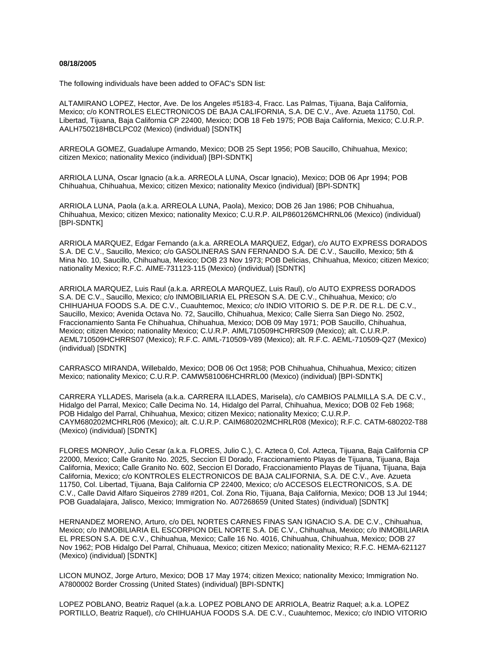#### **08/18/2005**

The following individuals have been added to OFAC's SDN list:

ALTAMIRANO LOPEZ, Hector, Ave. De los Angeles #5183-4, Fracc. Las Palmas, Tijuana, Baja California, Mexico; c/o KONTROLES ELECTRONICOS DE BAJA CALIFORNIA, S.A. DE C.V., Ave. Azueta 11750, Col. Libertad, Tijuana, Baja California CP 22400, Mexico; DOB 18 Feb 1975; POB Baja California, Mexico; C.U.R.P. AALH750218HBCLPC02 (Mexico) (individual) [SDNTK]

ARREOLA GOMEZ, Guadalupe Armando, Mexico; DOB 25 Sept 1956; POB Saucillo, Chihuahua, Mexico; citizen Mexico; nationality Mexico (individual) [BPI-SDNTK]

ARRIOLA LUNA, Oscar Ignacio (a.k.a. ARREOLA LUNA, Oscar Ignacio), Mexico; DOB 06 Apr 1994; POB Chihuahua, Chihuahua, Mexico; citizen Mexico; nationality Mexico (individual) [BPI-SDNTK]

ARRIOLA LUNA, Paola (a.k.a. ARREOLA LUNA, Paola), Mexico; DOB 26 Jan 1986; POB Chihuahua, Chihuahua, Mexico; citizen Mexico; nationality Mexico; C.U.R.P. AILP860126MCHRNL06 (Mexico) (individual) [BPI-SDNTK]

ARRIOLA MARQUEZ, Edgar Fernando (a.k.a. ARREOLA MARQUEZ, Edgar), c/o AUTO EXPRESS DORADOS S.A. DE C.V., Saucillo, Mexico; c/o GASOLINERAS SAN FERNANDO S.A. DE C.V., Saucillo, Mexico; 5th & Mina No. 10, Saucillo, Chihuahua, Mexico; DOB 23 Nov 1973; POB Delicias, Chihuahua, Mexico; citizen Mexico; nationality Mexico; R.F.C. AIME-731123-115 (Mexico) (individual) [SDNTK]

ARRIOLA MARQUEZ, Luis Raul (a.k.a. ARREOLA MARQUEZ, Luis Raul), c/o AUTO EXPRESS DORADOS S.A. DE C.V., Saucillo, Mexico; c/o INMOBILIARIA EL PRESON S.A. DE C.V., Chihuahua, Mexico; c/o CHIHUAHUA FOODS S.A. DE C.V., Cuauhtemoc, Mexico; c/o INDIO VITORIO S. DE P.R. DE R.L. DE C.V., Saucillo, Mexico; Avenida Octava No. 72, Saucillo, Chihuahua, Mexico; Calle Sierra San Diego No. 2502, Fraccionamiento Santa Fe Chihuahua, Chihuahua, Mexico; DOB 09 May 1971; POB Saucillo, Chihuahua, Mexico; citizen Mexico; nationality Mexico; C.U.R.P. AIML710509HCHRRS09 (Mexico); alt. C.U.R.P. AEML710509HCHRRS07 (Mexico); R.F.C. AIML-710509-V89 (Mexico); alt. R.F.C. AEML-710509-Q27 (Mexico) (individual) [SDNTK]

CARRASCO MIRANDA, Willebaldo, Mexico; DOB 06 Oct 1958; POB Chihuahua, Chihuahua, Mexico; citizen Mexico; nationality Mexico; C.U.R.P. CAMW581006HCHRRL00 (Mexico) (individual) [BPI-SDNTK]

CARRERA YLLADES, Marisela (a.k.a. CARRERA ILLADES, Marisela), c/o CAMBIOS PALMILLA S.A. DE C.V., Hidalgo del Parral, Mexico; Calle Decima No. 14, Hidalgo del Parral, Chihuahua, Mexico; DOB 02 Feb 1968; POB Hidalgo del Parral, Chihuahua, Mexico; citizen Mexico; nationality Mexico; C.U.R.P. CAYM680202MCHRLR06 (Mexico); alt. C.U.R.P. CAIM680202MCHRLR08 (Mexico); R.F.C. CATM-680202-T88 (Mexico) (individual) [SDNTK]

FLORES MONROY, Julio Cesar (a.k.a. FLORES, Julio C.), C. Azteca 0, Col. Azteca, Tijuana, Baja California CP 22000, Mexico; Calle Granito No. 2025, Seccion El Dorado, Fraccionamiento Playas de Tijuana, Tijuana, Baja California, Mexico; Calle Granito No. 602, Seccion El Dorado, Fraccionamiento Playas de Tijuana, Tijuana, Baja California, Mexico; c/o KONTROLES ELECTRONICOS DE BAJA CALIFORNIA, S.A. DE C.V., Ave. Azueta 11750, Col. Libertad, Tijuana, Baja California CP 22400, Mexico; c/o ACCESOS ELECTRONICOS, S.A. DE C.V., Calle David Alfaro Siqueiros 2789 #201, Col. Zona Rio, Tijuana, Baja California, Mexico; DOB 13 Jul 1944; POB Guadalajara, Jalisco, Mexico; Immigration No. A07268659 (United States) (individual) [SDNTK]

HERNANDEZ MORENO, Arturo, c/o DEL NORTES CARNES FINAS SAN IGNACIO S.A. DE C.V., Chihuahua, Mexico; c/o INMOBILIARIA EL ESCORPION DEL NORTE S.A. DE C.V., Chihuahua, Mexico; c/o INMOBILIARIA EL PRESON S.A. DE C.V., Chihuahua, Mexico; Calle 16 No. 4016, Chihuahua, Chihuahua, Mexico; DOB 27 Nov 1962; POB Hidalgo Del Parral, Chihuaua, Mexico; citizen Mexico; nationality Mexico; R.F.C. HEMA-621127 (Mexico) (individual) [SDNTK]

LICON MUNOZ, Jorge Arturo, Mexico; DOB 17 May 1974; citizen Mexico; nationality Mexico; Immigration No. A7800002 Border Crossing (United States) (individual) [BPI-SDNTK]

LOPEZ POBLANO, Beatriz Raquel (a.k.a. LOPEZ POBLANO DE ARRIOLA, Beatriz Raquel; a.k.a. LOPEZ PORTILLO, Beatriz Raquel), c/o CHIHUAHUA FOODS S.A. DE C.V., Cuauhtemoc, Mexico; c/o INDIO VITORIO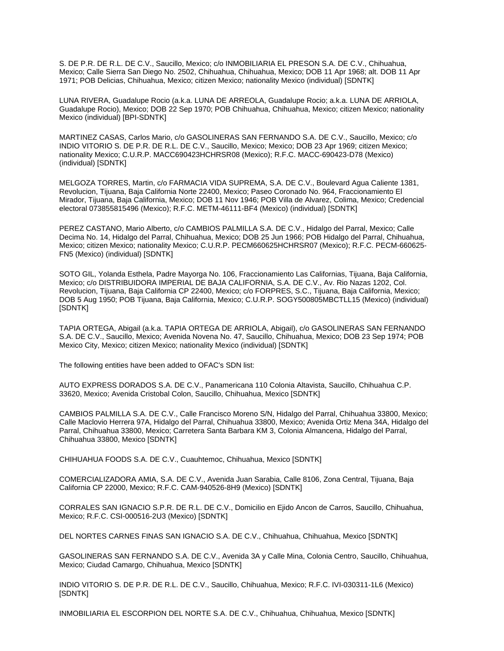S. DE P.R. DE R.L. DE C.V., Saucillo, Mexico; c/o INMOBILIARIA EL PRESON S.A. DE C.V., Chihuahua, Mexico; Calle Sierra San Diego No. 2502, Chihuahua, Chihuahua, Mexico; DOB 11 Apr 1968; alt. DOB 11 Apr 1971; POB Delicias, Chihuahua, Mexico; citizen Mexico; nationality Mexico (individual) [SDNTK]

LUNA RIVERA, Guadalupe Rocio (a.k.a. LUNA DE ARREOLA, Guadalupe Rocio; a.k.a. LUNA DE ARRIOLA, Guadalupe Rocio), Mexico; DOB 22 Sep 1970; POB Chihuahua, Chihuahua, Mexico; citizen Mexico; nationality Mexico (individual) [BPI-SDNTK]

MARTINEZ CASAS, Carlos Mario, c/o GASOLINERAS SAN FERNANDO S.A. DE C.V., Saucillo, Mexico; c/o INDIO VITORIO S. DE P.R. DE R.L. DE C.V., Saucillo, Mexico; Mexico; DOB 23 Apr 1969; citizen Mexico; nationality Mexico; C.U.R.P. MACC690423HCHRSR08 (Mexico); R.F.C. MACC-690423-D78 (Mexico) (individual) [SDNTK]

MELGOZA TORRES, Martin, c/o FARMACIA VIDA SUPREMA, S.A. DE C.V., Boulevard Agua Caliente 1381, Revolucion, Tijuana, Baja California Norte 22400, Mexico; Paseo Coronado No. 964, Fraccionamiento El Mirador, Tijuana, Baja California, Mexico; DOB 11 Nov 1946; POB Villa de Alvarez, Colima, Mexico; Credencial electoral 073855815496 (Mexico); R.F.C. METM-46111-BF4 (Mexico) (individual) [SDNTK]

PEREZ CASTANO, Mario Alberto, c/o CAMBIOS PALMILLA S.A. DE C.V., Hidalgo del Parral, Mexico; Calle Decima No. 14, Hidalgo del Parral, Chihuahua, Mexico; DOB 25 Jun 1966; POB Hidalgo del Parral, Chihuahua, Mexico; citizen Mexico; nationality Mexico; C.U.R.P. PECM660625HCHRSR07 (Mexico); R.F.C. PECM-660625- FN5 (Mexico) (individual) [SDNTK]

SOTO GIL, Yolanda Esthela, Padre Mayorga No. 106, Fraccionamiento Las Californias, Tijuana, Baja California, Mexico; c/o DISTRIBUIDORA IMPERIAL DE BAJA CALIFORNIA, S.A. DE C.V., Av. Rio Nazas 1202, Col. Revolucion, Tijuana, Baja California CP 22400, Mexico; c/o FORPRES, S.C., Tijuana, Baja California, Mexico; DOB 5 Aug 1950; POB Tijuana, Baja California, Mexico; C.U.R.P. SOGY500805MBCTLL15 (Mexico) (individual) [SDNTK]

TAPIA ORTEGA, Abigail (a.k.a. TAPIA ORTEGA DE ARRIOLA, Abigail), c/o GASOLINERAS SAN FERNANDO S.A. DE C.V., Saucillo, Mexico; Avenida Novena No. 47, Saucillo, Chihuahua, Mexico; DOB 23 Sep 1974; POB Mexico City, Mexico; citizen Mexico; nationality Mexico (individual) [SDNTK]

The following entities have been added to OFAC's SDN list:

AUTO EXPRESS DORADOS S.A. DE C.V., Panamericana 110 Colonia Altavista, Saucillo, Chihuahua C.P. 33620, Mexico; Avenida Cristobal Colon, Saucillo, Chihuahua, Mexico [SDNTK]

CAMBIOS PALMILLA S.A. DE C.V., Calle Francisco Moreno S/N, Hidalgo del Parral, Chihuahua 33800, Mexico; Calle Maclovio Herrera 97A, Hidalgo del Parral, Chihuahua 33800, Mexico; Avenida Ortiz Mena 34A, Hidalgo del Parral, Chihuahua 33800, Mexico; Carretera Santa Barbara KM 3, Colonia Almancena, Hidalgo del Parral, Chihuahua 33800, Mexico [SDNTK]

CHIHUAHUA FOODS S.A. DE C.V., Cuauhtemoc, Chihuahua, Mexico [SDNTK]

COMERCIALIZADORA AMIA, S.A. DE C.V., Avenida Juan Sarabia, Calle 8106, Zona Central, Tijuana, Baja California CP 22000, Mexico; R.F.C. CAM-940526-8H9 (Mexico) [SDNTK]

CORRALES SAN IGNACIO S.P.R. DE R.L. DE C.V., Domicilio en Ejido Ancon de Carros, Saucillo, Chihuahua, Mexico; R.F.C. CSI-000516-2U3 (Mexico) [SDNTK]

DEL NORTES CARNES FINAS SAN IGNACIO S.A. DE C.V., Chihuahua, Chihuahua, Mexico [SDNTK]

GASOLINERAS SAN FERNANDO S.A. DE C.V., Avenida 3A y Calle Mina, Colonia Centro, Saucillo, Chihuahua, Mexico; Ciudad Camargo, Chihuahua, Mexico [SDNTK]

INDIO VITORIO S. DE P.R. DE R.L. DE C.V., Saucillo, Chihuahua, Mexico; R.F.C. IVI-030311-1L6 (Mexico) [SDNTK]

INMOBILIARIA EL ESCORPION DEL NORTE S.A. DE C.V., Chihuahua, Chihuahua, Mexico [SDNTK]